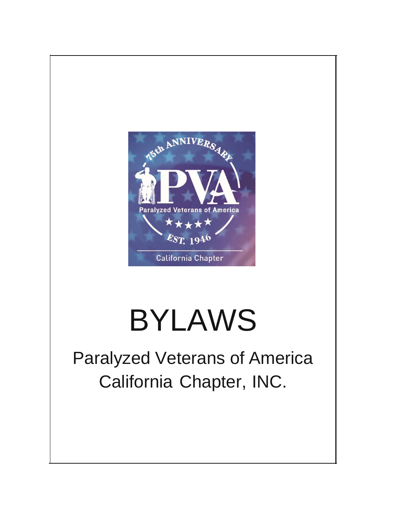

# BYLAWS

# Paralyzed Veterans of America California Chapter, INC.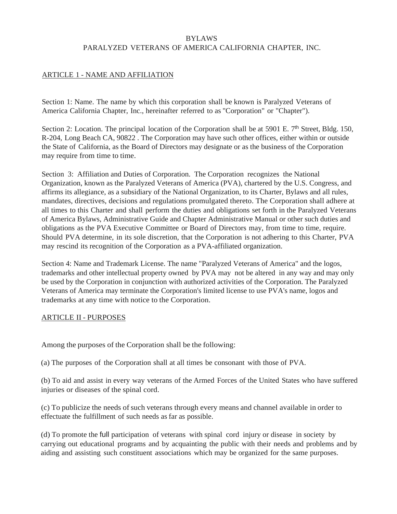#### BYLAWS

#### PARALYZED VETERANS OF AMERICA CALIFORNIA CHAPTER, INC.

#### ARTICLE 1 - NAME AND AFFILIATION

Section 1: Name. The name by which this corporation shall be known is Paralyzed Veterans of America California Chapter, Inc., hereinafter referred to as "Corporation" or "Chapter").

Section 2: Location. The principal location of the Corporation shall be at 5901 E. 7<sup>th</sup> Street, Bldg. 150, R-204, Long Beach CA, 90822 . The Corporation may have such other offices, either within or outside the State of California, as the Board of Directors may designate or as the business of the Corporation may require from time to time.

Section 3: Affiliation and Duties of Corporation. The Corporation recognizes the National Organization, known as the Paralyzed Veterans of America (PVA), chartered by the U.S. Congress, and affirms its allegiance, as a subsidiary of the National Organization, to its Charter, Bylaws and all rules, mandates, directives, decisions and regulations promulgated thereto. The Corporation shall adhere at all times to this Charter and shall perform the duties and obligations set forth in the Paralyzed Veterans of America Bylaws, Administrative Guide and Chapter Administrative Manual or other such duties and obligations as the PVA Executive Committee or Board of Directors may, from time to time, require. Should PVA determine, in its sole discretion, that the Corporation is not adhering to this Charter, PVA may rescind its recognition of the Corporation as a PVA-affiliated organization.

Section 4: Name and Trademark License. The name "Paralyzed Veterans of America" and the logos, trademarks and other intellectual property owned by PVA may not be altered in any way and may only be used by the Corporation in conjunction with authorized activities of the Corporation. The Paralyzed Veterans of America may terminate the Corporation's limited license to use PVA's name, logos and trademarks at any time with notice to the Corporation.

#### ARTICLE II - PURPOSES

Among the purposes of the Corporation shall be the following:

(a) The purposes of the Corporation shall at all times be consonant with those of PVA.

(b) To aid and assist in every way veterans of the Armed Forces of the United States who have suffered injuries or diseases of the spinal cord.

(c) To publicize the needs ofsuch veterans through every means and channel available in order to effectuate the fulfillment of such needs as far as possible.

(d) To promote the full participation of veterans with spinal cord injury or disease in society by carrying out educational programs and by acquainting the public with their needs and problems and by aiding and assisting such constituent associations which may be organized for the same purposes.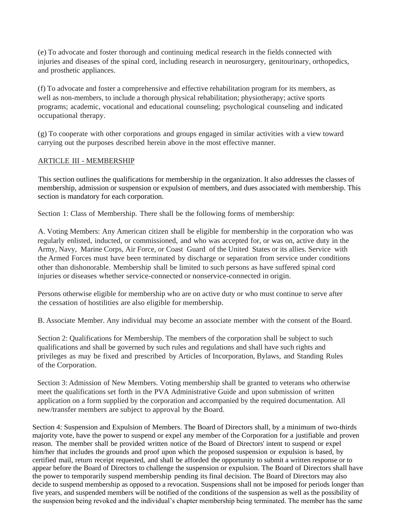(e) To advocate and foster thorough and continuing medical research in the fields connected with injuries and diseases of the spinal cord, including research in neurosurgery, genitourinary, orthopedics, and prosthetic appliances.

(f) To advocate and foster a comprehensive and effective rehabilitation program for its members, as well as non-members, to include a thorough physical rehabilitation; physiotherapy; active sports programs; academic, vocational and educational counseling; psychological counseling and indicated occupational therapy.

(g) To cooperate with other corporations and groups engaged in similar activities with a view toward carrying out the purposes described herein above in the most effective manner.

#### ARTICLE III - MEMBERSHIP

This section outlines the qualifications for membership in the organization. It also addresses the classes of membership, admission or suspension or expulsion of members, and dues associated with membership. This section is mandatory for each corporation.

Section 1: Class of Membership. There shall be the following forms of membership:

A. Voting Members: Any American citizen shall be eligible for membership in the corporation who was regularly enlisted, inducted, or commissioned, and who was accepted for, or was on, active duty in the Army, Navy, Marine Corps, Air Force, or Coast Guard of the United States or its allies. Service with the Armed Forces must have been terminated by discharge or separation from service under conditions other than dishonorable. Membership shall be limited to such persons as have suffered spinal cord injuries or diseases whether service-connected or nonservice-connected in origin.

Persons otherwise eligible for membership who are on active duty or who must continue to serve after the cessation of hostilities are also eligible for membership.

B. Associate Member. Any individual may become an associate member with the consent of the Board.

Section 2: Qualifications for Membership. The members of the corporation shall be subject to such qualifications and shall be governed by such rules and regulations and shall have such rights and privileges as may be fixed and prescribed by Articles of Incorporation, Bylaws, and Standing Rules of the Corporation.

Section 3: Admission of New Members. Voting membership shall be granted to veterans who otherwise meet the qualifications set forth in the PVA Administrative Guide and upon submission of written application on a form supplied by the corporation and accompanied by the required documentation. All new/transfer members are subject to approval by the Board.

Section 4: Suspension and Expulsion of Members. The Board of Directors shall, by a minimum of two-thirds majority vote, have the power to suspend or expel any member of the Corporation for a justifiable and proven reason. The member shall be provided written notice of the Board of Directors' intent to suspend or expel him/her that includes the grounds and proof upon which the proposed suspension or expulsion is based, by certified mail, return receipt requested, and shall be afforded the opportunity to submit a written response or to appear before the Board of Directors to challenge the suspension or expulsion. The Board of Directors shall have the power to temporarily suspend membership pending its final decision. The Board of Directors may also decide to suspend membership as opposed to a revocation. Suspensions shall not be imposed for periods longer than five years, and suspended members will be notified of the conditions of the suspension as well as the possibility of the suspension being revoked and the individual's chapter membership being terminated. The member has the same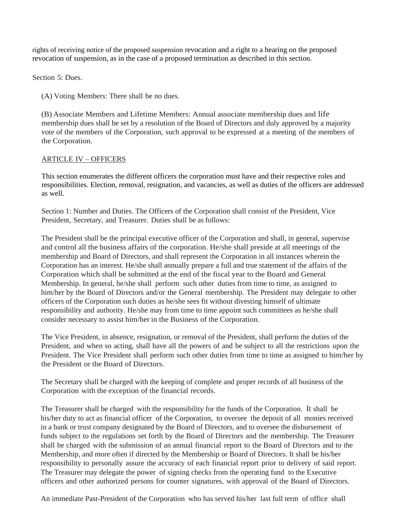rights of receiving notice of the proposed suspension revocation and a right to a hearing on the proposed revocation of suspension, as in the case of a proposed termination as described in this section.

Section 5: Dues.

(A) Voting Members: There shall be no dues.

(B) Associate Members and Lifetime Members: Annual associate membership dues and life membership dues shall be set by a resolution of the Board of Directors and duly approved by a majority vote of the members of the Corporation, such approval to be expressed at a meeting of the members of the Corporation.

# ARTICLE IV – OFFICERS

This section enumerates the different officers the corporation must have and their respective roles and responsibilities. Election, removal, resignation, and vacancies, as well as duties of the officers are addressed as well.

Section 1: Number and Duties. The Officers of the Corporation shall consist of the President, Vice President, Secretary, and Treasurer. Duties shall be as follows:

The President shall be the principal executive officer of the Corporation and shall, in general, supervise and control all the business affairs of the corporation. He/she shall preside at all meetings of the membership and Board of Directors, and shall represent the Corporation in all instances wherein the Corporation has an interest. He/she shall annually prepare a full and true statement of the affairs of the Corporation which shall be submitted at the end of the fiscal year to the Board and General Membership. In general, he/she shall perform such other duties from time to time, as assigned to him/her by the Board of Directors and/or the General membership. The President may delegate to other officers of the Corporation such duties as he/she sees fit without divesting himself of ultimate responsibility and authority. He/she may from time to time appoint such committees as he/she shall consider necessary to assist him/her in the Business of the Corporation.

The Vice President, in absence, resignation, or removal of the President, shall perform the duties of the President, and when so acting, shall have all the powers of and be subject to all the restrictions upon the President. The Vice President shall perform such other duties from time to time as assigned to him/her by the President or the Board of Directors.

The Secretary shall be charged with the keeping of complete and proper records of all business of the Corporation with the exception of the financial records.

The Treasurer shall be charged with the responsibility for the funds of the Corporation. It shall be his/her duty to act as financial officer of the Corporation, to oversee the deposit of all monies received in a bank or trust company designated by the Board of Directors, and to oversee the disbursement of funds subject to the regulations set forth by the Board of Directors and the membership. The Treasurer shall be charged with the submission of an annual financial report to the Board of Directors and to the Membership, and more often if directed by the Membership or Board of Directors. It shall be his/her responsibility to personally assure the accuracy of each financial report prior to delivery of said report. The Treasurer may delegate the power of signing checks from the operating fund to the Executive officers and other authorized persons for counter signatures, with approval of the Board of Directors.

An immediate Past-President of the Corporation who has served his/her last full term of office shall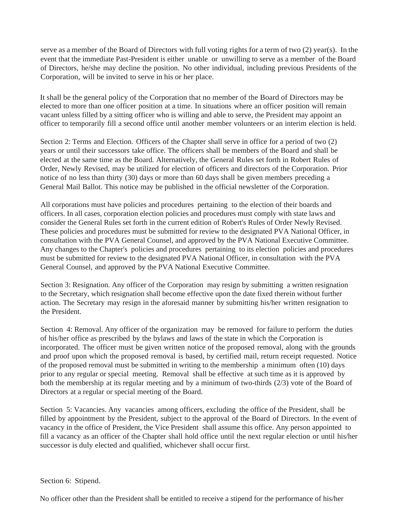serve as a member of the Board of Directors with full voting rights for a term of two (2) year(s). In the event that the immediate Past-President is either unable or unwilling to serve as a member of the Board of Directors, he/she may decline the position. No other individual, including previous Presidents of the Corporation, will be invited to serve in his or her place.

It shall be the general policy of the Corporation that no member of the Board of Directors may be elected to more than one officer position at a time. In situations where an officer position will remain vacant unless filled by a sitting officer who is willing and able to serve, the President may appoint an officer to temporarily fill a second office until another member volunteers or an interim election is held.

Section 2: Terms and Election. Officers of the Chapter shall serve in office for a period of two  $(2)$ years or until their successors take office. The officers shall be members of the Board and shall be elected at the same time as the Board. Alternatively, the General Rules set forth in Robert Rules of Order, Newly Revised, may be utilized for election of officers and directors of the Corporation. Prior notice of no less than thirty (30) days or more than 60 days shall be given members preceding a General Mail Ballot. This notice may be published in the official newsletter of the Corporation.

All corporations must have policies and procedures pertaining to the election of their boards and officers. In all cases, corporation election policies and procedures must comply with state laws and consider the General Rules set forth in the current edition of Robert's Rules of Order Newly Revised. These policies and procedures must be submitted for review to the designated PVA National Officer, in consultation with the PVA General Counsel, and approved by the PVA National Executive Committee. Any changes to the Chapter's policies and procedures pertaining to its election policies and procedures must be submitted for review to the designated PVA National Officer, in consultation with the PVA General Counsel, and approved by the PVA National Executive Committee.

Section 3: Resignation. Any officer of the Corporation may resign by submitting a written resignation to the Secretary, which resignation shall become effective upon the date fixed therein without further action. The Secretary may resign in the aforesaid manner by submitting his/her written resignation to the President.

Section 4: Removal. Any officer of the organization may be removed for failure to perform the duties of his/her office as prescribed by the bylaws and laws of the state in which the Corporation is incorporated. The officer must be given written notice of the proposed removal, along with the grounds and proof upon which the proposed removal is based, by certified mail, return receipt requested. Notice of the proposed removal must be submitted in writing to the membership a minimum often (10) days prior to any regular or special meeting. Removal shall be effective at such time as it is approved by both the membership at its regular meeting and by a minimum of two-thirds (2/3) vote of the Board of Directors at a regular or special meeting of the Board.

Section 5: Vacancies. Any vacancies among officers, excluding the office of the President, shall be filled by appointment by the President, subject to the approval of the Board of Directors. In the event of vacancy in the office of President, the Vice President shall assume this office. Any person appointed to fill a vacancy as an officer of the Chapter shall hold office until the next regular election or until his/her successor is duly elected and qualified, whichever shall occur first.

#### Section 6: Stipend.

No officer other than the President shall be entitled to receive a stipend for the performance of his/her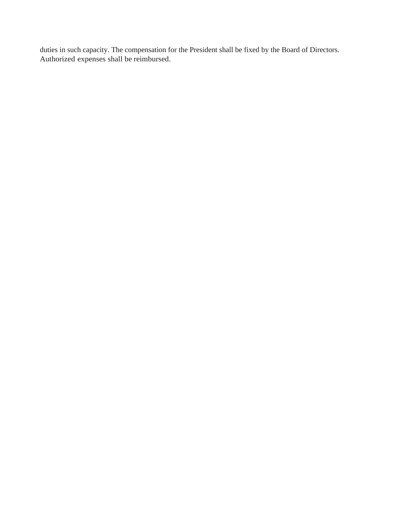duties in such capacity. The compensation for the President shall be fixed by the Board of Directors. Authorized expenses shall be reimbursed.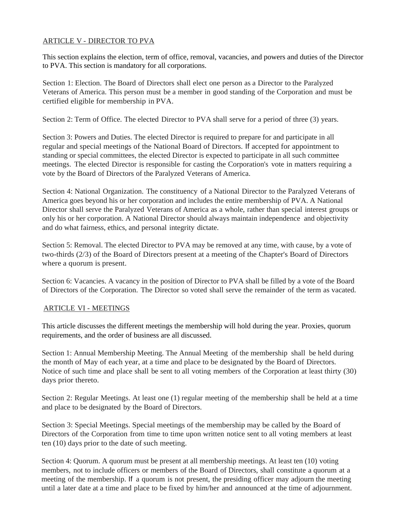# ARTICLE V - DIRECTOR TO PVA

This section explains the election, term of office, removal, vacancies, and powers and duties of the Director to PVA. This section is mandatory for all corporations.

Section 1: Election. The Board of Directors shall elect one person as a Director to the Paralyzed Veterans of America. This person must be a member in good standing of the Corporation and must be certified eligible for membership in PVA.

Section 2: Term of Office. The elected Director to PVA shall serve for a period of three (3) years.

Section 3: Powers and Duties. The elected Director is required to prepare for and participate in all regular and special meetings of the National Board of Directors. If accepted for appointment to standing or special committees, the elected Director is expected to participate in all such committee meetings. The elected Director is responsible for casting the Corporation's vote in matters requiring a vote by the Board of Directors of the Paralyzed Veterans of America.

Section 4: National Organization. The constituency of a National Director to the Paralyzed Veterans of America goes beyond his or her corporation and includes the entire membership of PVA. A National Director shall serve the Paralyzed Veterans of America as a whole, rather than special interest groups or only his or her corporation. A National Director should always maintain independence and objectivity and do what fairness, ethics, and personal integrity dictate.

Section 5: Removal. The elected Director to PVA may be removed at any time, with cause, by a vote of two-thirds (2/3) of the Board of Directors present at a meeting of the Chapter's Board of Directors where a quorum is present.

Section 6: Vacancies. A vacancy in the position of Director to PVA shall be filled by a vote of the Board of Directors of the Corporation. The Director so voted shall serve the remainder of the term as vacated.

#### ARTICLE VI - MEETINGS

This article discusses the different meetings the membership will hold during the year. Proxies, quorum requirements, and the order of business are all discussed.

Section 1: Annual Membership Meeting. The Annual Meeting of the membership shall be held during the month of May of each year, at a time and place to be designated by the Board of Directors. Notice of such time and place shall be sent to all voting members of the Corporation at least thirty (30) days prior thereto.

Section 2: Regular Meetings. At least one (1) regular meeting of the membership shall be held at a time and place to be designated by the Board of Directors.

Section 3: Special Meetings. Special meetings of the membership may be called by the Board of Directors of the Corporation from time to time upon written notice sent to all voting members at least ten (10) days prior to the date of such meeting.

Section 4: Quorum. A quorum must be present at all membership meetings. At least ten (10) voting members, not to include officers or members of the Board of Directors, shall constitute a quorum at a meeting of the membership. If a quorum is not present, the presiding officer may adjourn the meeting until a later date at a time and place to be fixed by him/her and announced at the time of adjournment.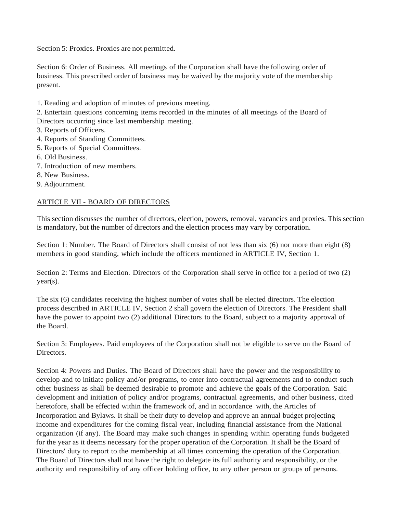Section 5: Proxies. Proxies are not permitted.

Section 6: Order of Business. All meetings of the Corporation shall have the following order of business. This prescribed order of business may be waived by the majority vote of the membership present.

- 1. Reading and adoption of minutes of previous meeting.
- 2. Entertain questions concerning items recorded in the minutes of all meetings of the Board of Directors occurring since last membership meeting.
- 3. Reports of Officers.
- 4. Reports of Standing Committees.
- 5. Reports of Special Committees.
- 6. Old Business.
- 7. Introduction of new members.
- 8. New Business.
- 9. Adjournment.

#### ARTICLE VII - BOARD OF DIRECTORS

This section discusses the number of directors, election, powers, removal, vacancies and proxies. This section is mandatory, but the number of directors and the election process may vary by corporation.

Section 1: Number. The Board of Directors shall consist of not less than six (6) nor more than eight (8) members in good standing, which include the officers mentioned in ARTICLE IV, Section 1.

Section 2: Terms and Election. Directors of the Corporation shall serve in office for a period of two (2) year(s).

The six (6) candidates receiving the highest number of votes shall be elected directors. The election process described in ARTICLE IV, Section 2 shall govern the election of Directors. The President shall have the power to appoint two (2) additional Directors to the Board, subject to a majority approval of the Board.

Section 3: Employees. Paid employees of the Corporation shall not be eligible to serve on the Board of Directors.

Section 4: Powers and Duties. The Board of Directors shall have the power and the responsibility to develop and to initiate policy and/or programs, to enter into contractual agreements and to conduct such other business as shall be deemed desirable to promote and achieve the goals of the Corporation. Said development and initiation of policy and/or programs, contractual agreements, and other business, cited heretofore, shall be effected within the framework of, and in accordance with, the Articles of Incorporation and Bylaws. It shall be their duty to develop and approve an annual budget projecting income and expenditures for the coming fiscal year, including financial assistance from the National organization (if any). The Board may make such changes in spending within operating funds budgeted for the year as it deems necessary for the proper operation of the Corporation. It shall be the Board of Directors' duty to report to the membership at all times concerning the operation of the Corporation. The Board of Directors shall not have the right to delegate its full authority and responsibility, or the authority and responsibility of any officer holding office, to any other person or groups of persons.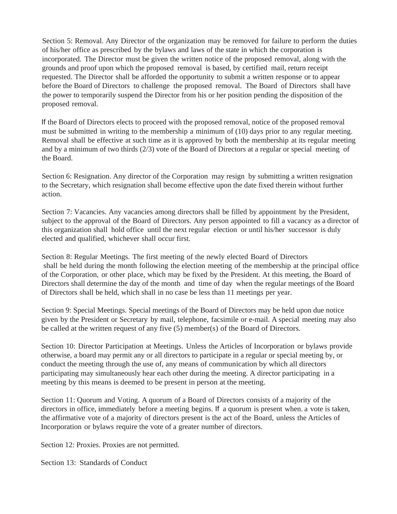Section 5: Removal. Any Director of the organization may be removed for failure to perform the duties of his/her office as prescribed by the bylaws and laws of the state in which the corporation is incorporated. The Director must be given the written notice of the proposed removal, along with the grounds and proof upon which the proposed removal is based, by certified mail, return receipt requested. The Director shall be afforded the opportunity to submit a written response or to appear before the Board of Directors to challenge the proposed removal. The Board of Directors shall have the power to temporarily suspend the Director from his or her position pending the disposition of the proposed removal.

If the Board of Directors elects to proceed with the proposed removal, notice of the proposed removal must be submitted in writing to the membership a minimum of (10) days prior to any regular meeting. Removal shall be effective at such time as it is approved by both the membership at its regular meeting and by a minimum of two thirds (2/3) vote of the Board of Directors at a regular or special meeting of the Board.

Section 6: Resignation. Any director of the Corporation may resign by submitting a written resignation to the Secretary, which resignation shall become effective upon the date fixed therein without further action.

Section 7: Vacancies. Any vacancies among directors shall be filled by appointment by the President, subject to the approval of the Board of Directors. Any person appointed to fill a vacancy as a director of this organization shall hold office until the next regular election or until his/her successor is duly elected and qualified, whichever shall occur first.

Section 8: Regular Meetings. The first meeting of the newly elected Board of Directors shall be held during the month following the election meeting of the membership at the principal office of the Corporation, or other place, which may be fixed by the President. At this meeting, the Board of Directors shall determine the day of the month and time of day when the regular meetings of the Board of Directors shall be held, which shall in no case be less than 11 meetings per year.

Section 9: Special Meetings. Special meetings of the Board of Directors may be held upon due notice given by the President or Secretary by mail, telephone, facsimile or e-mail. A special meeting may also be called at the written request of any five (5) member(s) of the Board of Directors.

Section 10: Director Participation at Meetings. Unless the Articles of Incorporation or bylaws provide otherwise, a board may permit any or all directors to participate in a regular or special meeting by, or conduct the meeting through the use of, any means of communication by which all directors participating may simultaneously hear each other during the meeting. A director participating in a meeting by this means is deemed to be present in person at the meeting.

Section 11: Quorum and Voting. A quorum of a Board of Directors consists of a majority of the directors in office, immediately before a meeting begins. If a quorum is present when. a vote is taken, the affirmative vote of a majority of directors present is the act of the Board, unless the Articles of Incorporation or bylaws require the vote of a greater number of directors.

Section 12: Proxies. Proxies are not permitted.

Section 13: Standards of Conduct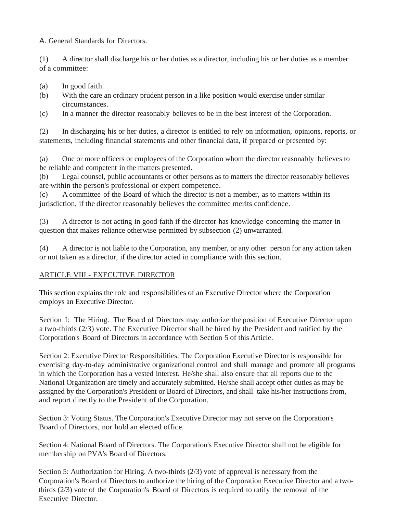A. General Standards for Directors.

(1) A director shall discharge his or her duties as a director, including his or her duties as a member of a committee:

- (a) In good faith.
- (b) With the care an ordinary prudent person in a like position would exercise under similar circumstances.
- (c) In a manner the director reasonably believes to be in the best interest of the Corporation.

(2) In discharging his or her duties, a director is entitled to rely on information, opinions, reports, or statements, including financial statements and other financial data, if prepared or presented by:

(a) One or more officers or employees of the Corporation whom the director reasonably believes to be reliable and competent in the matters presented.

(b) Legal counsel, public accountants or other persons as to matters the director reasonably believes are within the person's professional or expert competence.

(c) A committee of the Board of which the director is not a member, as to matters within its jurisdiction, if the director reasonably believes the committee merits confidence.

(3) A director is not acting in good faith if the director has knowledge concerning the matter in question that makes reliance otherwise permitted by subsection (2) unwarranted.

(4) A director is not liable to the Corporation, any member, or any other person for any action taken or not taken as a director, if the director acted in compliance with this section.

# ARTICLE VIII - EXECUTIVE DIRECTOR

This section explains the role and responsibilities of an Executive Director where the Corporation employs an Executive Director.

Section I: The Hiring. The Board of Directors may authorize the position of Executive Director upon a two-thirds (2/3) vote. The Executive Director shall be hired by the President and ratified by the Corporation's Board of Directors in accordance with Section 5 of this Article.

Section 2: Executive Director Responsibilities. The Corporation Executive Director is responsible for exercising day-to-day administrative organizational control and shall manage and promote all programs in which the Corporation has a vested interest. He/she shall also ensure that all reports due to the National Organization are timely and accurately submitted. He/she shall accept other duties as may be assigned by the Corporation's President or Board of Directors, and shall take his/her instructions from, and report directly to the President of the Corporation.

Section 3: Voting Status. The Corporation's Executive Director may not serve on the Corporation's Board of Directors, nor hold an elected office.

Section 4: National Board of Directors. The Corporation's Executive Director shall not be eligible for membership on PVA's Board of Directors.

Section 5: Authorization for Hiring. A two-thirds (2/3) vote of approval is necessary from the Corporation's Board of Directors to authorize the hiring of the Corporation Executive Director and a twothirds (2/3) vote of the Corporation's Board of Directors is required to ratify the removal of the Executive Director.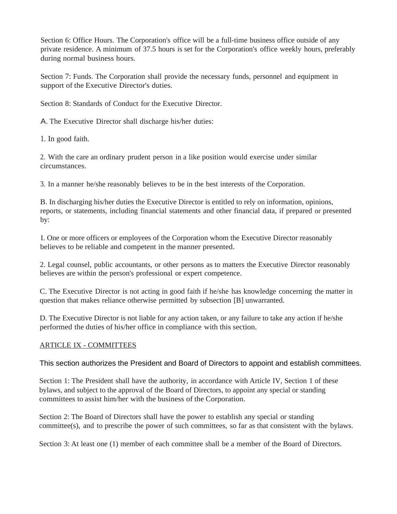Section 6: Office Hours. The Corporation's office will be a full-time business office outside of any private residence. A minimum of 37.5 hours is set for the Corporation's office weekly hours, preferably during normal business hours.

Section 7: Funds. The Corporation shall provide the necessary funds, personnel and equipment in support of the Executive Director's duties.

Section 8: Standards of Conduct for the Executive Director.

A. The Executive Director shall discharge his/her duties:

1. In good faith.

2. With the care an ordinary prudent person in a like position would exercise under similar circumstances.

3. In a manner he/she reasonably believes to be in the best interests of the Corporation.

B. In discharging his/her duties the Executive Director is entitled to rely on information, opinions, reports, or statements, including financial statements and other financial data, if prepared or presented by:

I. One or more officers or employees of the Corporation whom the Executive Director reasonably believes to be reliable and competent in the manner presented.

2. Legal counsel, public accountants, or other persons as to matters the Executive Director reasonably believes are within the person's professional or expert competence.

C. The Executive Director is not acting in good faith if he/she has knowledge concerning the matter in question that makes reliance otherwise permitted by subsection [B] unwarranted.

D. The Executive Director is not liable for any action taken, or any failure to take any action if he/she performed the duties of his/her office in compliance with this section.

#### ARTICLE IX - COMMITTEES

This section authorizes the President and Board of Directors to appoint and establish committees.

Section 1: The President shall have the authority, in accordance with Article IV, Section 1 of these bylaws, and subject to the approval of the Board of Directors, to appoint any special or standing committees to assist him/her with the business of the Corporation.

Section 2: The Board of Directors shall have the power to establish any special or standing committee(s), and to prescribe the power of such committees, so far as that consistent with the bylaws.

Section 3: At least one (1) member of each committee shall be a member of the Board of Directors.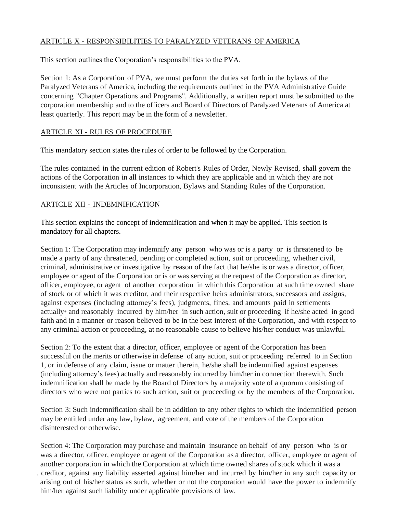# ARTICLE X - RESPONSIBILITIES TO PARALYZED VETERANS OF AMERICA

This section outlines the Corporation's responsibilities to the PVA.

Section 1: As a Corporation of PVA, we must perform the duties set forth in the bylaws of the Paralyzed Veterans of America, including the requirements outlined in the PVA Administrative Guide concerning "Chapter Operations and Programs". Additionally, a written report must be submitted to the corporation membership and to the officers and Board of Directors of Paralyzed Veterans of America at least quarterly. This report may be in the form of a newsletter.

#### ARTICLE XI - RULES OF PROCEDURE

This mandatory section states the rules of order to be followed by the Corporation.

The rules contained in the current edition of Robert's Rules of Order, Newly Revised, shall govern the actions of the Corporation in all instances to which they are applicable and in which they are not inconsistent with the Articles of Incorporation, Bylaws and Standing Rules of the Corporation.

# ARTICLE XII - INDEMNIFICATION

This section explains the concept of indemnification and when it may be applied. This section is mandatory for all chapters.

Section 1: The Corporation may indemnify any person who was or is a party or is threatened to be made a party of any threatened, pending or completed action, suit or proceeding, whether civil, criminal, administrative or investigative by reason of the fact that he/she is or was a director, officer, employee or agent of the Corporation or is or was serving at the request of the Corporation as director, officer, employee, or agent of another corporation in which this Corporation at such time owned share of stock or of which it was creditor, and their respective heirs administrators, successors and assigns, against expenses (including attorney's fees), judgments, fines, and amounts paid in settlements actually• and reasonably incurred by him/her in such action, suit or proceeding if he/she acted in good faith and in a manner or reason believed to be in the best interest of the Corporation, and with respect to any criminal action or proceeding, at no reasonable cause to believe his/her conduct was unlawful.

Section 2: To the extent that a director, officer, employee or agent of the Corporation has been successful on the merits or otherwise in defense of any action, suit or proceeding referred to in Section 1, or in defense of any claim, issue or matter therein, he/she shall be indemnified against expenses (including attorney's fees) actually and reasonably incurred by him/her in connection therewith. Such indemnification shall be made by the Board of Directors by a majority vote of a quorum consisting of directors who were not parties to such action, suit or proceeding or by the members of the Corporation.

Section 3: Such indemnification shall be in addition to any other rights to which the indemnified person may be entitled under any law, bylaw, agreement, and vote of the members of the Corporation disinterested or otherwise.

Section 4: The Corporation may purchase and maintain insurance on behalf of any person who is or was a director, officer, employee or agent of the Corporation as a director, officer, employee or agent of another corporation in which the Corporation at which time owned shares of stock which it was a . creditor, against any liability asserted against him/her and incurred by him/her in any such capacity or arising out of his/her status as such, whether or not the corporation would have the power to indemnify him/her against such liability under applicable provisions of law.